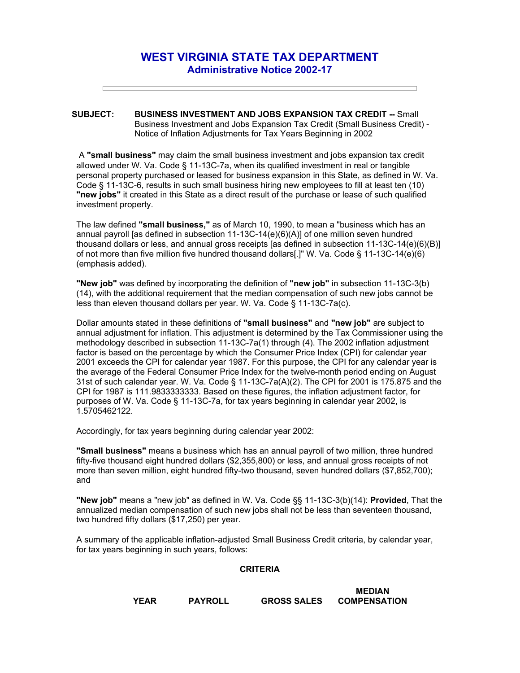## **WEST VIRGINIA STATE TAX DEPARTMENT Administrative Notice 2002-17**

## **SUBJECT: BUSINESS INVESTMENT AND JOBS EXPANSION TAX CREDIT --** Small Business Investment and Jobs Expansion Tax Credit (Small Business Credit) - Notice of Inflation Adjustments for Tax Years Beginning in 2002

A **"small business"** may claim the small business investment and jobs expansion tax credit allowed under W. Va. Code § 11-13C-7a, when its qualified investment in real or tangible personal property purchased or leased for business expansion in this State, as defined in W. Va. Code § 11-13C-6, results in such small business hiring new employees to fill at least ten (10) **"new jobs"** it created in this State as a direct result of the purchase or lease of such qualified investment property.

The law defined **"small business,"** as of March 10, 1990, to mean a "business which has an annual payroll [as defined in subsection 11-13C-14(e)(6)(A)] of one million seven hundred thousand dollars or less, and annual gross receipts [as defined in subsection 11-13C-14(e)(6)(B)] of not more than five million five hundred thousand dollars[.]" W. Va. Code § 11-13C-14(e)(6) (emphasis added).

**"New job"** was defined by incorporating the definition of **"new job"** in subsection 11-13C-3(b) (14), with the additional requirement that the median compensation of such new jobs cannot be less than eleven thousand dollars per year. W. Va. Code § 11-13C-7a(c).

Dollar amounts stated in these definitions of **"small business"** and **"new job"** are subject to annual adjustment for inflation. This adjustment is determined by the Tax Commissioner using the methodology described in subsection 11-13C-7a(1) through (4). The 2002 inflation adjustment factor is based on the percentage by which the Consumer Price Index (CPI) for calendar year 2001 exceeds the CPI for calendar year 1987. For this purpose, the CPI for any calendar year is the average of the Federal Consumer Price Index for the twelve-month period ending on August 31st of such calendar year. W. Va. Code § 11-13C-7a(A)(2). The CPI for 2001 is 175.875 and the CPI for 1987 is 111.9833333333. Based on these figures, the inflation adjustment factor, for purposes of W. Va. Code § 11-13C-7a, for tax years beginning in calendar year 2002, is 1.5705462122.

Accordingly, for tax years beginning during calendar year 2002:

**"Small business"** means a business which has an annual payroll of two million, three hundred fifty-five thousand eight hundred dollars (\$2,355,800) or less, and annual gross receipts of not more than seven million, eight hundred fifty-two thousand, seven hundred dollars (\$7,852,700); and

**"New job"** means a "new job" as defined in W. Va. Code §§ 11-13C-3(b)(14): **Provided**, That the annualized median compensation of such new jobs shall not be less than seventeen thousand, two hundred fifty dollars (\$17,250) per year.

A summary of the applicable inflation-adjusted Small Business Credit criteria, by calendar year, for tax years beginning in such years, follows:

## **CRITERIA**

**YEAR PAYROLL GROSS SALES MEDIAN COMPENSATION**